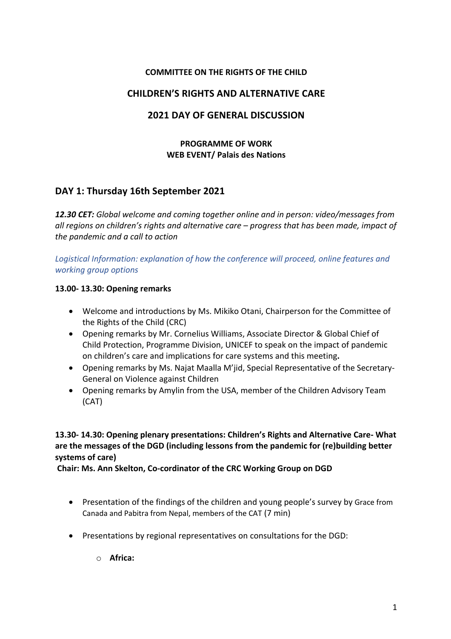## **COMMITTEE ON THE RIGHTS OF THE CHILD**

## **CHILDREN'S RIGHTS AND ALTERNATIVE CARE**

## **2021 DAY OF GENERAL DISCUSSION**

## **PROGRAMME OF WORK WEB EVENT/ Palais des Nations**

# **DAY 1: Thursday 16th September 2021**

*12.30 CET: Global welcome and coming together online and in person: video/messages from all regions on children's rights and alternative care – progress that has been made, impact of the pandemic and a call to action*

*Logistical Information: explanation of how the conference will proceed, online features and working group options*

### **13.00- 13.30: Opening remarks**

- Welcome and introductions by Ms. Mikiko Otani, Chairperson for the Committee of the Rights of the Child (CRC)
- Opening remarks by Mr. Cornelius Williams, Associate Director & Global Chief of Child Protection, Programme Division, UNICEF to speak on the impact of pandemic on children's care and implications for care systems and this meeting**.**
- Opening remarks by Ms. Najat Maalla M'jid, Special Representative of the Secretary-General on Violence against Children
- Opening remarks by Amylin from the USA, member of the Children Advisory Team (CAT)

## **13.30- 14.30: Opening plenary presentations: Children's Rights and Alternative Care- What are the messages of the DGD (including lessons from the pandemic for (re)building better systems of care)**

**Chair: Ms. Ann Skelton, Co-cordinator of the CRC Working Group on DGD**

- Presentation of the findings of the children and young people's survey by Grace from Canada and Pabitra from Nepal, members of the CAT (7 min)
- Presentations by regional representatives on consultations for the DGD:
	- o **Africa:**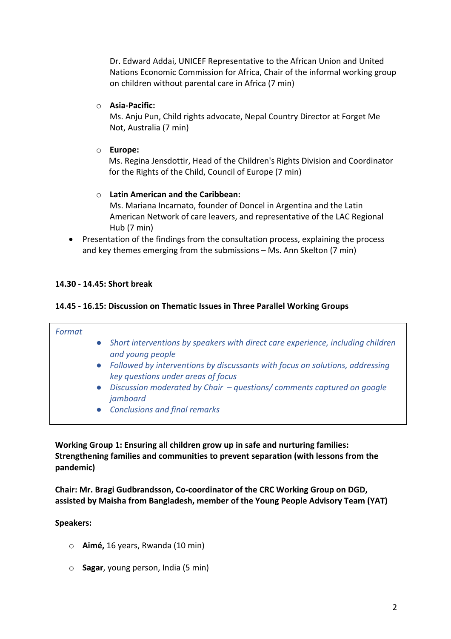Dr. Edward Addai, UNICEF Representative to the African Union and United Nations Economic Commission for Africa, Chair of the informal working group on children without parental care in Africa (7 min)

### o **Asia-Pacific:**

Ms. Anju Pun, Child rights advocate, Nepal Country Director at Forget Me Not, Australia (7 min)

## o **Europe:**

Ms. Regina Jensdottir, Head of the Children's Rights Division and Coordinator for the Rights of the Child, Council of Europe (7 min)

## o **Latin American and the Caribbean:**

Ms. Mariana Incarnato, founder of Doncel in Argentina and the Latin American Network of care leavers, and representative of the LAC Regional Hub (7 min)

• Presentation of the findings from the consultation process, explaining the process and key themes emerging from the submissions – Ms. Ann Skelton (7 min)

## **14.30 - 14.45: Short break**

### **14.45 - 16.15: Discussion on Thematic Issues in Three Parallel Working Groups**

| Format |                                                                                                                      |
|--------|----------------------------------------------------------------------------------------------------------------------|
|        | • Short interventions by speakers with direct care experience, including children<br>and young people                |
|        | • Followed by interventions by discussants with focus on solutions, addressing<br>key questions under areas of focus |
|        | • Discussion moderated by Chair - questions/comments captured on google<br>jamboard                                  |
|        | • Conclusions and final remarks                                                                                      |

**Working Group 1: Ensuring all children grow up in safe and nurturing families: Strengthening families and communities to prevent separation (with lessons from the pandemic)**

**Chair: Mr. Bragi Gudbrandsson, Co-coordinator of the CRC Working Group on DGD, assisted by Maisha from Bangladesh, member of the Young People Advisory Team (YAT)**

### **Speakers:**

- o **Aimé,** 16 years, Rwanda (10 min)
- o **Sagar**, young person, India (5 min)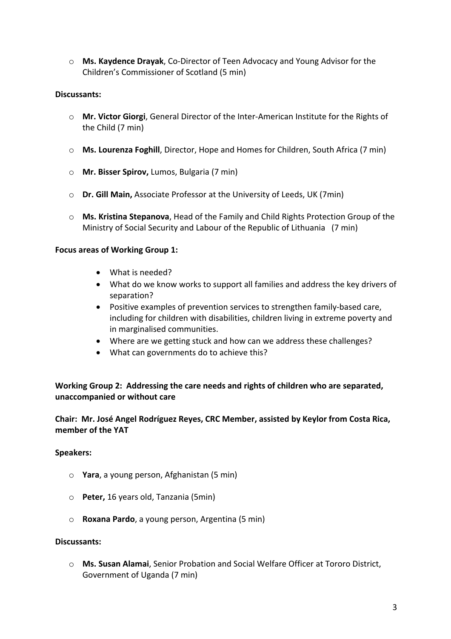o **Ms. Kaydence Drayak**, Co-Director of Teen Advocacy and Young Advisor for the Children's Commissioner of Scotland (5 min)

## **Discussants:**

- o **Mr. Victor Giorgi**, General Director of the Inter-American Institute for the Rights of the Child (7 min)
- o **Ms. Lourenza Foghill**, Director, Hope and Homes for Children, South Africa (7 min)
- o **Mr. Bisser Spirov,** Lumos, Bulgaria (7 min)
- o **Dr. Gill Main,** Associate Professor at the University of Leeds, UK (7min)
- o **Ms. Kristina Stepanova**, Head of the Family and Child Rights Protection Group of the Ministry of Social Security and Labour of the Republic of Lithuania (7 min)

### **Focus areas of Working Group 1:**

- What is needed?
- What do we know works to support all families and address the key drivers of separation?
- Positive examples of prevention services to strengthen family-based care, including for children with disabilities, children living in extreme poverty and in marginalised communities.
- Where are we getting stuck and how can we address these challenges?
- What can governments do to achieve this?

## **Working Group 2: Addressing the care needs and rights of children who are separated, unaccompanied or without care**

## **Chair: Mr. José Angel Rodríguez Reyes, CRC Member, assisted by Keylor from Costa Rica, member of the YAT**

### **Speakers:**

- o **Yara**, a young person, Afghanistan (5 min)
- o **Peter,** 16 years old, Tanzania (5min)
- o **Roxana Pardo**, a young person, Argentina (5 min)

### **Discussants:**

o **Ms. Susan Alamai**, Senior Probation and Social Welfare Officer at Tororo District, Government of Uganda (7 min)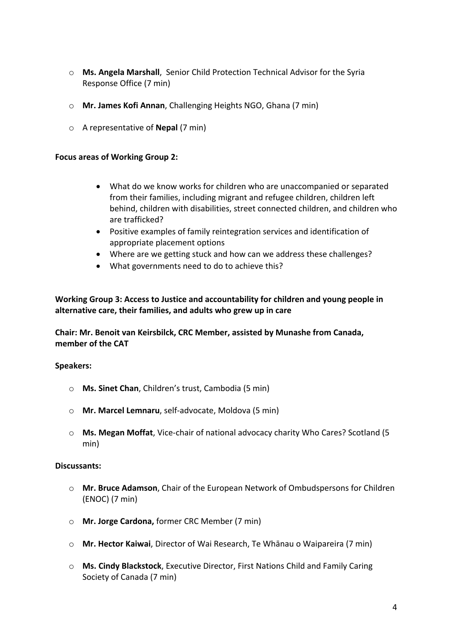- o **Ms. Angela Marshall**, Senior Child Protection Technical Advisor for the Syria Response Office (7 min)
- o **Mr. James Kofi Annan**, Challenging Heights NGO, Ghana (7 min)
- o A representative of **Nepal** (7 min)

### **Focus areas of Working Group 2:**

- What do we know works for children who are unaccompanied or separated from their families, including migrant and refugee children, children left behind, children with disabilities, street connected children, and children who are trafficked?
- Positive examples of family reintegration services and identification of appropriate placement options
- Where are we getting stuck and how can we address these challenges?
- What governments need to do to achieve this?

**Working Group 3: Access to Justice and accountability for children and young people in alternative care, their families, and adults who grew up in care** 

**Chair: Mr. Benoit van Keirsbilck, CRC Member, assisted by Munashe from Canada, member of the CAT**

### **Speakers:**

- o **Ms. Sinet Chan**, Children's trust, Cambodia (5 min)
- o **Mr. Marcel Lemnaru**, self-advocate, Moldova (5 min)
- o **Ms. Megan Moffat**, Vice-chair of national advocacy charity Who Cares? Scotland (5 min)

#### **Discussants:**

- o **Mr. Bruce Adamson**, Chair of the European Network of Ombudspersons for Children (ENOC) (7 min)
- o **Mr. Jorge Cardona,** former CRC Member (7 min)
- o **Mr. Hector Kaiwai**, Director of Wai Research, Te Whānau o Waipareira (7 min)
- o **Ms. Cindy Blackstock**, Executive Director, First Nations Child and Family Caring Society of Canada (7 min)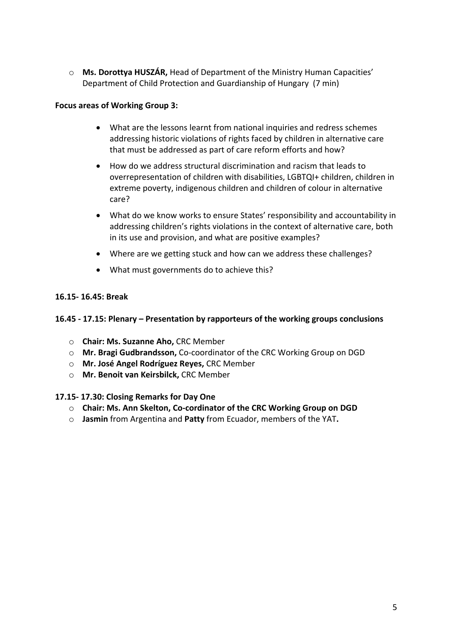o **Ms. Dorottya HUSZÁR,** Head of Department of the Ministry Human Capacities' Department of Child Protection and Guardianship of Hungary (7 min)

## **Focus areas of Working Group 3:**

- What are the lessons learnt from national inquiries and redress schemes addressing historic violations of rights faced by children in alternative care that must be addressed as part of care reform efforts and how?
- How do we address structural discrimination and racism that leads to overrepresentation of children with disabilities, LGBTQI+ children, children in extreme poverty, indigenous children and children of colour in alternative care?
- What do we know works to ensure States' responsibility and accountability in addressing children's rights violations in the context of alternative care, both in its use and provision, and what are positive examples?
- Where are we getting stuck and how can we address these challenges?
- What must governments do to achieve this?

## **16.15- 16.45: Break**

## **16.45 - 17.15: Plenary – Presentation by rapporteurs of the working groups conclusions**

- o **Chair: Ms. Suzanne Aho,** CRC Member
- o **Mr. Bragi Gudbrandsson,** Co-coordinator of the CRC Working Group on DGD
- o **Mr. José Angel Rodríguez Reyes,** CRC Member
- o **Mr. Benoit van Keirsbilck,** CRC Member

## **17.15- 17.30: Closing Remarks for Day One**

- o **Chair: Ms. Ann Skelton, Co-cordinator of the CRC Working Group on DGD**
- o **Jasmin** from Argentina and **Patty** from Ecuador, members of the YAT**.**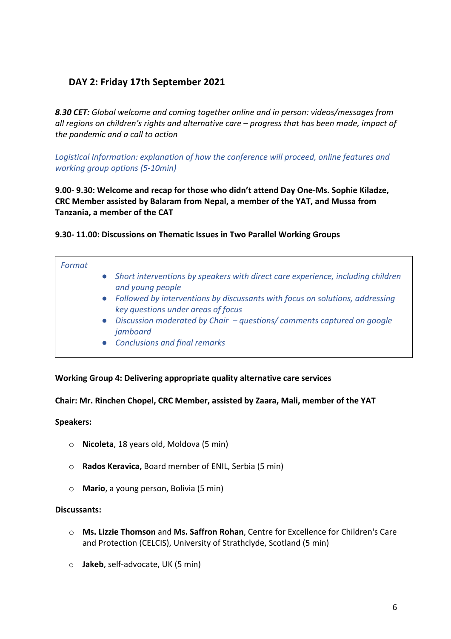# **DAY 2: Friday 17th September 2021**

*8.30 CET: Global welcome and coming together online and in person: videos/messages from all regions on children's rights and alternative care – progress that has been made, impact of the pandemic and a call to action*

*Logistical Information: explanation of how the conference will proceed, online features and working group options (5-10min)*

**9.00- 9.30: Welcome and recap for those who didn't attend Day One-Ms. Sophie Kiladze, CRC Member assisted by Balaram from Nepal, a member of the YAT, and Mussa from Tanzania, a member of the CAT**

## **9.30- 11.00: Discussions on Thematic Issues in Two Parallel Working Groups**

| Format |                                                                                                                    |
|--------|--------------------------------------------------------------------------------------------------------------------|
|        | • Short interventions by speakers with direct care experience, including children<br>and young people              |
|        | Followed by interventions by discussants with focus on solutions, addressing<br>key questions under areas of focus |
|        | Discussion moderated by Chair - questions/ comments captured on google<br>jamboard                                 |
|        | <b>Conclusions and final remarks</b>                                                                               |

### **Working Group 4: Delivering appropriate quality alternative care services**

**Chair: Mr. Rinchen Chopel, CRC Member, assisted by Zaara, Mali, member of the YAT**

### **Speakers:**

- o **Nicoleta**, 18 years old, Moldova (5 min)
- o **Rados Keravica,** Board member of ENIL, Serbia (5 min)
- o **Mario**, a young person, Bolivia (5 min)

### **Discussants:**

- o **Ms. Lizzie Thomson** and **Ms. Saffron Rohan**, Centre for Excellence for Children's Care and Protection (CELCIS), University of Strathclyde, Scotland (5 min)
- o **Jakeb**, self-advocate, UK (5 min)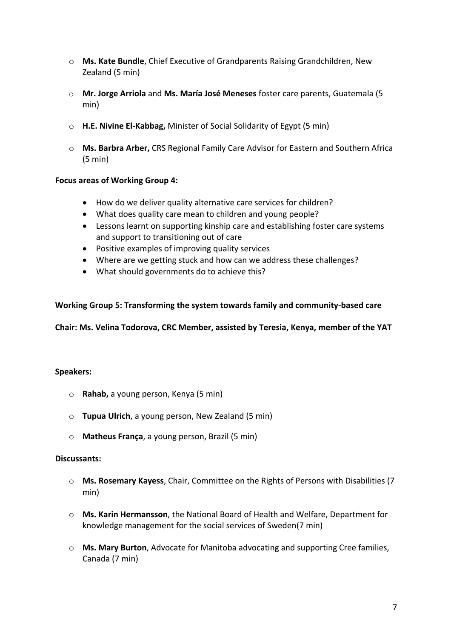- o **Ms. Kate Bundle**, Chief Executive of Grandparents Raising Grandchildren, New Zealand (5 min)
- o **Mr. Jorge Arriola** and **Ms. María José Meneses** foster care parents, Guatemala (5 min)
- o **H.E. Nivine El-Kabbag,** Minister of Social Solidarity of Egypt (5 min)
- o **Ms. Barbra Arber,** CRS Regional Family Care Advisor for Eastern and Southern Africa (5 min)

## **Focus areas of Working Group 4:**

- How do we deliver quality alternative care services for children?
- What does quality care mean to children and young people?
- Lessons learnt on supporting kinship care and establishing foster care systems and support to transitioning out of care
- Positive examples of improving quality services
- Where are we getting stuck and how can we address these challenges?
- What should governments do to achieve this?

## **Working Group 5: Transforming the system towards family and community-based care**

**Chair: Ms. Velina Todorova, CRC Member, assisted by Teresia, Kenya, member of the YAT** 

### **Speakers:**

- o **Rahab,** a young person, Kenya (5 min)
- o **Tupua Ulrich**, a young person, New Zealand (5 min)
- o **Matheus França**, a young person, Brazil (5 min)

### **Discussants:**

- o **Ms. Rosemary Kayess**, Chair, Committee on the Rights of Persons with Disabilities (7 min)
- o **Ms. Karin Hermansson**, the National Board of Health and Welfare, Department for knowledge management for the social services of Sweden(7 min)
- o **Ms. Mary Burton**, Advocate for Manitoba advocating and supporting Cree families, Canada (7 min)